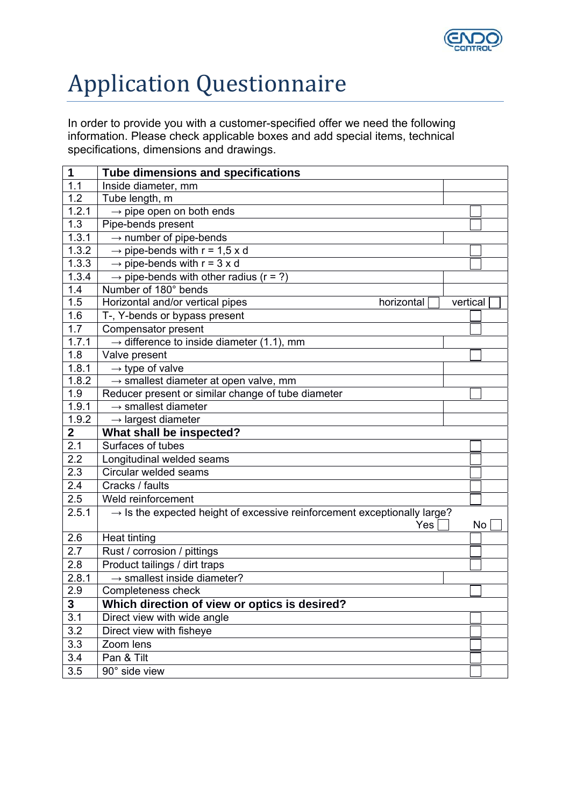

## Application Questionnaire

In order to provide you with a customer-specified offer we need the following information. Please check applicable boxes and add special items, technical specifications, dimensions and drawings.

| 1                | Tube dimensions and specifications                                                          |          |    |  |
|------------------|---------------------------------------------------------------------------------------------|----------|----|--|
| 1.1              | Inside diameter, mm                                                                         |          |    |  |
| $1.\overline{2}$ | Tube length, m                                                                              |          |    |  |
| 1.2.1            | $\rightarrow$ pipe open on both ends                                                        |          |    |  |
| 1.3              | Pipe-bends present                                                                          |          |    |  |
| 1.3.1            | $\rightarrow$ number of pipe-bends                                                          |          |    |  |
| 1.3.2            | $\rightarrow$ pipe-bends with r = 1,5 x d                                                   |          |    |  |
| 1.3.3            | $\rightarrow$ pipe-bends with r = 3 x d                                                     |          |    |  |
| 1.3.4            | $\rightarrow$ pipe-bends with other radius (r = ?)                                          |          |    |  |
| $1.\overline{4}$ | Number of 180° bends                                                                        |          |    |  |
| 1.5              | Horizontal and/or vertical pipes<br>horizontal                                              | vertical |    |  |
| 1.6              | T-, Y-bends or bypass present                                                               |          |    |  |
| 1.7              | Compensator present                                                                         |          |    |  |
| 1.7.1            | $\rightarrow$ difference to inside diameter (1.1), mm                                       |          |    |  |
| 1.8              | Valve present                                                                               |          |    |  |
| 1.8.1            | $\rightarrow$ type of valve                                                                 |          |    |  |
| 1.8.2            | $\rightarrow$ smallest diameter at open valve, mm                                           |          |    |  |
| 1.9              | Reducer present or similar change of tube diameter                                          |          |    |  |
| 1.9.1            | $\rightarrow$ smallest diameter                                                             |          |    |  |
| 1.9.2            | $\rightarrow$ largest diameter                                                              |          |    |  |
| $\mathbf{2}$     | What shall be inspected?                                                                    |          |    |  |
| 2.1              | Surfaces of tubes                                                                           |          |    |  |
| 2.2              | Longitudinal welded seams                                                                   |          |    |  |
| 2.3              | Circular welded seams                                                                       |          |    |  |
| 2.4              | Cracks / faults                                                                             |          |    |  |
| 2.5              | Weld reinforcement                                                                          |          |    |  |
| 2.5.1            | $\rightarrow$ Is the expected height of excessive reinforcement exceptionally large?<br>Yes |          | No |  |
| 2.6              | <b>Heat tinting</b>                                                                         |          |    |  |
| 2.7              | Rust / corrosion / pittings                                                                 |          |    |  |
| 2.8              | Product tailings / dirt traps                                                               |          |    |  |
| 2.8.1            | $\rightarrow$ smallest inside diameter?                                                     |          |    |  |
| 2.9              | Completeness check                                                                          |          |    |  |
| 3                | Which direction of view or optics is desired?                                               |          |    |  |
| 3.1              | Direct view with wide angle                                                                 |          |    |  |
| 3.2              | Direct view with fisheye                                                                    |          |    |  |
| 3.3              | Zoom lens                                                                                   |          |    |  |
| 3.4              | Pan & Tilt                                                                                  |          |    |  |
|                  |                                                                                             |          |    |  |
| 3.5              | 90° side view                                                                               |          |    |  |